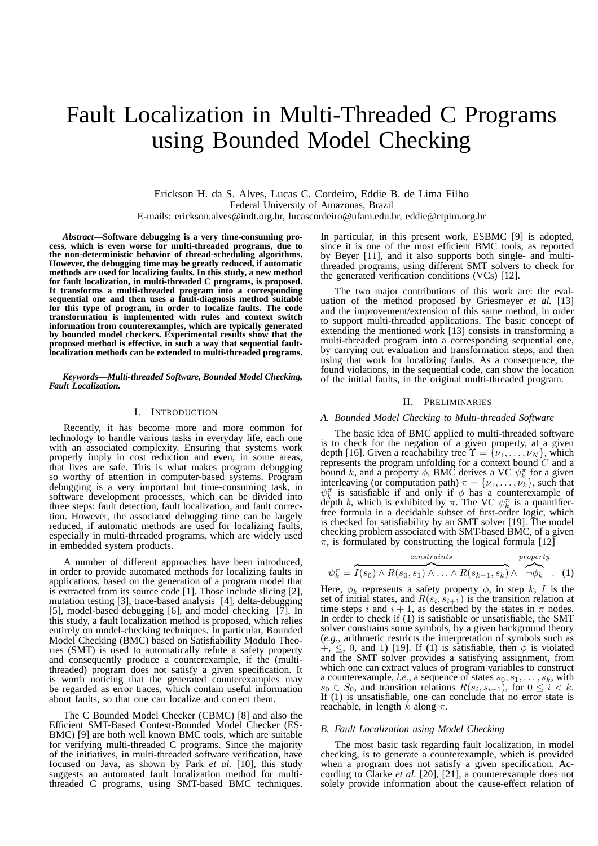# Fault Localization in Multi-Threaded C Programs using Bounded Model Checking

Erickson H. da S. Alves, Lucas C. Cordeiro, Eddie B. de Lima Filho Federal University of Amazonas, Brazil E-mails: erickson.alves@indt.org.br, lucascordeiro@ufam.edu.br, eddie@ctpim.org.br

*Abstract***—Software debugging is a very time-consuming process, which is even worse for multi-threaded programs, due to the non-deterministic behavior of thread-scheduling algorithms. However, the debugging time may be greatly reduced, if automatic methods are used for localizing faults. In this study, a new method for fault localization, in multi-threaded C programs, is proposed. It transforms a multi-threaded program into a corresponding sequential one and then uses a fault-diagnosis method suitable for this type of program, in order to localize faults. The code transformation is implemented with rules and context switch information from counterexamples, which are typically generated by bounded model checkers. Experimental results show that the proposed method is effective, in such a way that sequential faultlocalization methods can be extended to multi-threaded programs.**

*Keywords***—***Multi-threaded Software, Bounded Model Checking, Fault Localization.*

### I. INTRODUCTION

Recently, it has become more and more common for technology to handle various tasks in everyday life, each one with an associated complexity. Ensuring that systems work properly imply in cost reduction and even, in some areas, that lives are safe. This is what makes program debugging so worthy of attention in computer-based systems. Program debugging is a very important but time-consuming task, in software development processes, which can be divided into three steps: fault detection, fault localization, and fault correction. However, the associated debugging time can be largely reduced, if automatic methods are used for localizing faults, especially in multi-threaded programs, which are widely used in embedded system products.

A number of different approaches have been introduced, in order to provide automated methods for localizing faults in applications, based on the generation of a program model that is extracted from its source code [1]. Those include slicing [2], mutation testing [3], trace-based analysis [4], delta-debugging [5], model-based debugging [6], and model checking [7]. In this study, a fault localization method is proposed, which relies entirely on model-checking techniques. In particular, Bounded Model Checking (BMC) based on Satisfiability Modulo Theories (SMT) is used to automatically refute a safety property and consequently produce a counterexample, if the (multithreaded) program does not satisfy a given specification. It is worth noticing that the generated counterexamples may be regarded as error traces, which contain useful information about faults, so that one can localize and correct them.

The C Bounded Model Checker (CBMC) [8] and also the Efficient SMT-Based Context-Bounded Model Checker (ES-BMC) [9] are both well known BMC tools, which are suitable for verifying multi-threaded C programs. Since the majority of the initiatives, in multi-threaded software verification, have focused on Java, as shown by Park *et al.* [10], this study suggests an automated fault localization method for multithreaded C programs, using SMT-based BMC techniques.

In particular, in this present work, ESBMC [9] is adopted, since it is one of the most efficient BMC tools, as reported by Beyer [11], and it also supports both single- and multithreaded programs, using different SMT solvers to check for the generated verification conditions (VCs) [12].

The two major contributions of this work are: the evaluation of the method proposed by Griesmeyer *et al.* [13] and the improvement/extension of this same method, in order to support multi-threaded applications. The basic concept of extending the mentioned work [13] consists in transforming a multi-threaded program into a corresponding sequential one, by carrying out evaluation and transformation steps, and then using that work for localizing faults. As a consequence, the found violations, in the sequential code, can show the location of the initial faults, in the original multi-threaded program.

#### II. PRELIMINARIES

## *A. Bounded Model Checking to Multi-threaded Software*

The basic idea of BMC applied to multi-threaded software is to check for the negation of a given property, at a given depth [16]. Given a reachability tree  $\Upsilon = {\nu_1, \dots, \nu_N}$ , which represents the program unfolding for a context bound  $C$  and a bound k, and a property  $\phi$ , BMC derives a VC  $\psi_k^{\pi}$  for a given interleaving (or computation path)  $\pi = {\nu_1, \dots, \nu_k}$ , such that  $\psi_k^{\pi}$  is satisfiable if and only if  $\phi$  has a counterexample of depth *k*, which is exhibited by  $\pi$ . The VC  $\psi_{k}^{\pi}$  is a quantifierfree formula in a decidable subset of first-order logic, which is checked for satisfiability by an SMT solver [19]. The model checking problem associated with SMT-based BMC, of a given  $\pi$ , is formulated by constructing the logical formula [12]

$$
\psi_k^{\pi} = \overbrace{I(s_0) \land R(s_0, s_1) \land \dots \land R(s_{k-1}, s_k)}^{\text{property}} \land \overbrace{\neg \phi_k}^{\text{property}}.
$$
 (1)

Here,  $\phi_k$  represents a safety property  $\phi$ , in step k, I is the set of initial states, and  $R(s_i, s_{i+1})$  is the transition relation at time steps i and  $i + 1$ , as described by the states in  $\pi$  nodes. In order to check if (1) is satisfiable or unsatisfiable, the SMT solver constrains some symbols, by a given background theory (*e.g.*, arithmetic restricts the interpretation of symbols such as  $+$ ,  $\leq$ , 0, and 1) [19]. If (1) is satisfiable, then  $\phi$  is violated and the SMT solver provides a satisfying assignment, from which one can extract values of program variables to construct a counterexample, *i.e.*, a sequence of states  $s_0, s_1, \ldots, s_k$ , with  $s_0 \in S_0$ , and transition relations  $R(s_i, s_{i+1})$ , for  $0 \le i < k$ . If  $(1)$  is unsatisfiable, one can conclude that no error state is reachable, in length k along  $\pi$ .

#### *B. Fault Localization using Model Checking*

The most basic task regarding fault localization, in model checking, is to generate a counterexample, which is provided when a program does not satisfy a given specification. According to Clarke *et al.* [20], [21], a counterexample does not solely provide information about the cause-effect relation of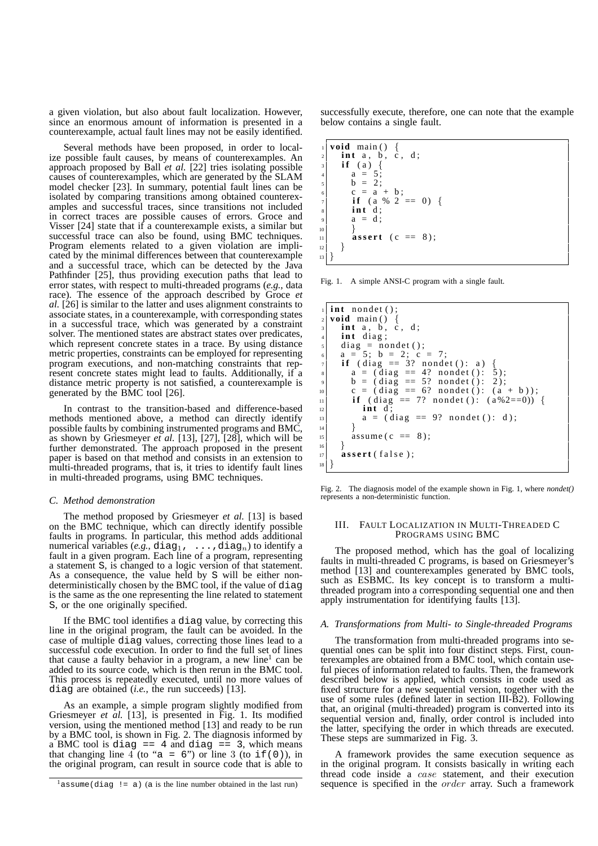a given violation, but also about fault localization. However, since an enormous amount of information is presented in a counterexample, actual fault lines may not be easily identified.

Several methods have been proposed, in order to localize possible fault causes, by means of counterexamples. An approach proposed by Ball *et al.* [22] tries isolating possible causes of counterexamples, which are generated by the SLAM model checker [23]. In summary, potential fault lines can be isolated by comparing transitions among obtained counterexamples and successful traces, since transitions not included in correct traces are possible causes of errors. Groce and Visser [24] state that if a counterexample exists, a similar but successful trace can also be found, using BMC techniques. Program elements related to a given violation are implicated by the minimal differences between that counterexample and a successful trace, which can be detected by the Java Pathfinder [25], thus providing execution paths that lead to error states, with respect to multi-threaded programs (*e.g.*, data race). The essence of the approach described by Groce *et al.* [26] is similar to the latter and uses alignment constraints to associate states, in a counterexample, with corresponding states in a successful trace, which was generated by a constraint solver. The mentioned states are abstract states over predicates, which represent concrete states in a trace. By using distance metric properties, constraints can be employed for representing program executions, and non-matching constraints that represent concrete states might lead to faults. Additionally, if a distance metric property is not satisfied, a counterexample is generated by the BMC tool [26].

In contrast to the transition-based and difference-based methods mentioned above, a method can directly identify possible faults by combining instrumented programs and BMC, as shown by Griesmeyer  $e\overline{t}$  al. [13], [27], [28], which will be further demonstrated. The approach proposed in the present paper is based on that method and consists in an extension to multi-threaded programs, that is, it tries to identify fault lines in multi-threaded programs, using BMC techniques.

#### *C. Method demonstration*

The method proposed by Griesmeyer *et al.* [13] is based on the BMC technique, which can directly identify possible faults in programs. In particular, this method adds additional numerical variables  $(e.g., diag_1, \ldots, diag_n)$  to identify a fault in a given program. Each line of a program, representing a statement S, is changed to a logic version of that statement. As a consequence, the value held by S will be either nondeterministically chosen by the BMC tool, if the value of diag is the same as the one representing the line related to statement S, or the one originally specified.

If the BMC tool identifies a diag value, by correcting this line in the original program, the fault can be avoided. In the case of multiple diag values, correcting those lines lead to a successful code execution. In order to find the full set of lines that cause a faulty behavior in a program, a new line<sup>1</sup> can be added to its source code, which is then rerun in the BMC tool. This process is repeatedly executed, until no more values of diag are obtained (*i.e.*, the run succeeds) [13].

As an example, a simple program slightly modified from Griesmeyer *et al.* [13], is presented in Fig. 1. Its modified version, using the mentioned method [13] and ready to be run by a BMC tool, is shown in Fig. 2. The diagnosis informed by a BMC tool is diag  $==$  4 and diag  $==$  3, which means that changing line 4 (to "a = 6") or line 3 (to if(0)), in the original program, can result in source code that is able to

successfully execute, therefore, one can note that the example below contains a single fault.

 $\text{void } \text{main}() \{$  $int a, b, c, d;$ if (a)  $\{$  $a = 5$ ;  $b = 2;$  $c = a + b;$ **if** (a % 2 == 0) { **int** d;  $a = d$ : 10 }  $|11|$  **assert** (**c** == 8);  $\vert$  12 }  $\left| \right|$ 

Fig. 1. A simple ANSI-C program with a single fault.

```
int n ondet ();
   2 void main ( ) {
 \mathbf{a} int \mathbf{a}, \mathbf{b}, \mathbf{c}, \mathbf{d};
 4 int diag;
     diag = nondet ();
     a = 5; b = 2; c = 7;
 \tau if (diag == 3? nondet (): a) {
 |s| a = (diag == 4? nondet (): 5);
 | \circ | b = (diag == 5? nondet (): 2);
|_{10}| c = (diag == 6? nondet (): (a + b));
\text{if} ( diag == 7? nondet ( ): (a%2==0)) {
\begin{vmatrix} 12 \\ 12 \end{vmatrix} int d;
a = (diag == 9? \text{ nondet } () : d);14 }
\text{assume (c == 8)};
\begin{bmatrix} 16 \\ 17 \end{bmatrix} }
     \mathbf{assert} (false);
18 }
```
Fig. 2. The diagnosis model of the example shown in Fig. 1, where *nondet()* represents a non-deterministic function.

#### III. FAULT LOCALIZATION IN MULTI-THREADED C PROGRAMS USING BMC

The proposed method, which has the goal of localizing faults in multi-threaded C programs, is based on Griesmeyer's method [13] and counterexamples generated by BMC tools, such as ESBMC. Its key concept is to transform a multithreaded program into a corresponding sequential one and then apply instrumentation for identifying faults [13].

#### *A. Transformations from Multi- to Single-threaded Programs*

The transformation from multi-threaded programs into sequential ones can be split into four distinct steps. First, counterexamples are obtained from a BMC tool, which contain useful pieces of information related to faults. Then, the framework described below is applied, which consists in code used as fixed structure for a new sequential version, together with the use of some rules (defined later in section III-B2). Following that, an original (multi-threaded) program is converted into its sequential version and, finally, order control is included into the latter, specifying the order in which threads are executed. These steps are summarized in Fig. 3.

A framework provides the same execution sequence as in the original program. It consists basically in writing each thread code inside a case statement, and their execution sequence is specified in the order array. Such a framework

 $1_{\text{assume}}$  (diag != a) (a is the line number obtained in the last run)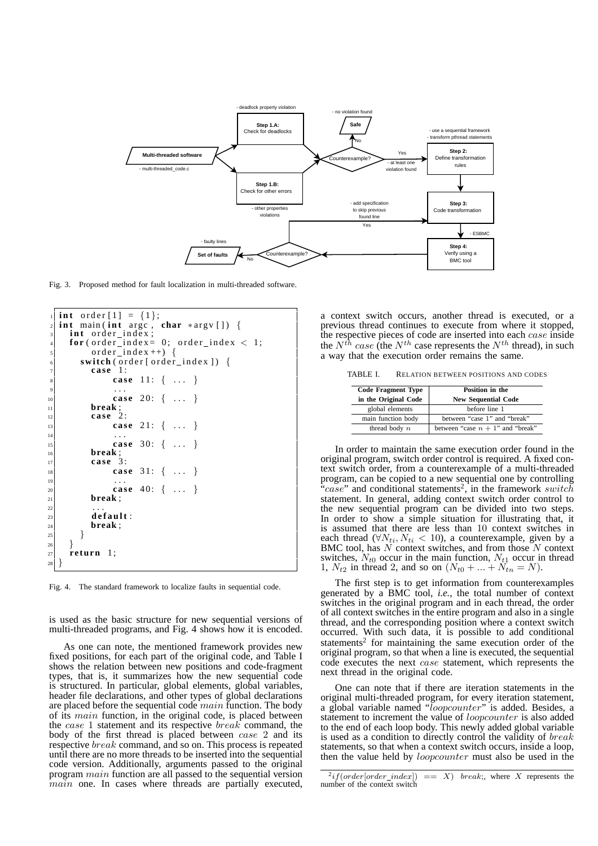

Fig. 3. Proposed method for fault localization in multi-threaded software.

```
int order [1] = \{1\};int main(int argc, char *argv[]) {
      int order_index;
      for (order_index = 0; order_index < 1;order\_index++) {
          \textbf{switch}(\text{order}[\text{order}_\text{index}]) {
             7 case 1 :
                    case 11: { ... }
 9 \vert ...
10 case 20: { ... }
11 break ;
12 case 2 :
case 21: { ... }
\begin{array}{ccc} \hline \end{array} . .
15 case 30: { ... }
16 break;<br>
case 3
             17 case 3 :
\begin{bmatrix} 18 \\ 19 \end{bmatrix} case 31: { ... }
\begin{array}{ccc} \hline \hline \hline \hline \hline \hline \end{array} ...
\begin{array}{c|c} 20 \ \hline 20 \ \hline 21 \ \end{array} case 40: { ... }
21 break ;
\begin{array}{ccc} \text{22} & \text{...} \end{array}\begin{array}{c|c}\n \hline\n & \text{default:} \\
\hline\n & \text{break:}\n\end{array}break ;
|_{25}| }
\frac{26}{27}r return 1;
28 }
```
Fig. 4. The standard framework to localize faults in sequential code.

is used as the basic structure for new sequential versions of multi-threaded programs, and Fig. 4 shows how it is encoded.

As one can note, the mentioned framework provides new fixed positions, for each part of the original code, and Table I shows the relation between new positions and code-fragment types, that is, it summarizes how the new sequential code is structured. In particular, global elements, global variables, header file declarations, and other types of global declarations are placed before the sequential code  $main$  function. The body of its main function, in the original code, is placed between the case 1 statement and its respective break command, the body of the first thread is placed between case 2 and its respective break command, and so on. This process is repeated until there are no more threads to be inserted into the sequential code version. Additionally, arguments passed to the original program main function are all passed to the sequential version main one. In cases where threads are partially executed, a context switch occurs, another thread is executed, or a previous thread continues to execute from where it stopped, the respective pieces of code are inserted into each *case* inside the  $N^{th}$  case (the  $N^{th}$  case represents the  $N^{th}$  thread), in such a way that the execution order remains the same.

TABLE I. RELATION BETWEEN POSITIONS AND CODES

| <b>Code Fragment Type</b><br>in the Original Code | Position in the<br><b>New Sequential Code</b> |  |  |
|---------------------------------------------------|-----------------------------------------------|--|--|
| global elements                                   | before line 1                                 |  |  |
| main function body                                | between "case 1" and "break"                  |  |  |
| thread body $n$                                   | between "case $n + 1$ " and "break"           |  |  |

In order to maintain the same execution order found in the original program, switch order control is required. A fixed context switch order, from a counterexample of a multi-threaded program, can be copied to a new sequential one by controlling "case" and conditional statements<sup>2</sup>, in the framework switch statement. In general, adding context switch order control to the new sequential program can be divided into two steps. In order to show a simple situation for illustrating that, it is assumed that there are less than 10 context switches in each thread ( $\forall N_{ti}, N_{ti} < 10$ ), a counterexample, given by a BMC tool, has  $N$  context switches, and from those  $N$  context switches,  $N_{t0}$  occur in the main function,  $N_{t1}$  occur in thread 1,  $N_{t2}$  in thread 2, and so on  $(N_{t0} + ... + N_{tn} = N)$ .

The first step is to get information from counterexamples generated by a BMC tool, *i.e.*, the total number of context switches in the original program and in each thread, the order of all context switches in the entire program and also in a single thread, and the corresponding position where a context switch occurred. With such data, it is possible to add conditional statements<sup>2</sup> for maintaining the same execution order of the original program, so that when a line is executed, the sequential code executes the next case statement, which represents the next thread in the original code.

One can note that if there are iteration statements in the original multi-threaded program, for every iteration statement, a global variable named "loopcounter" is added. Besides, a statement to increment the value of *loopcounter* is also added to the end of each loop body. This newly added global variable is used as a condition to directly control the validity of *break* statements, so that when a context switch occurs, inside a loop, then the value held by loopcounter must also be used in the

 $^{2}$ if(order[order index])  $\equiv$   $\sum$ ) break;, where X represents the number of the context switch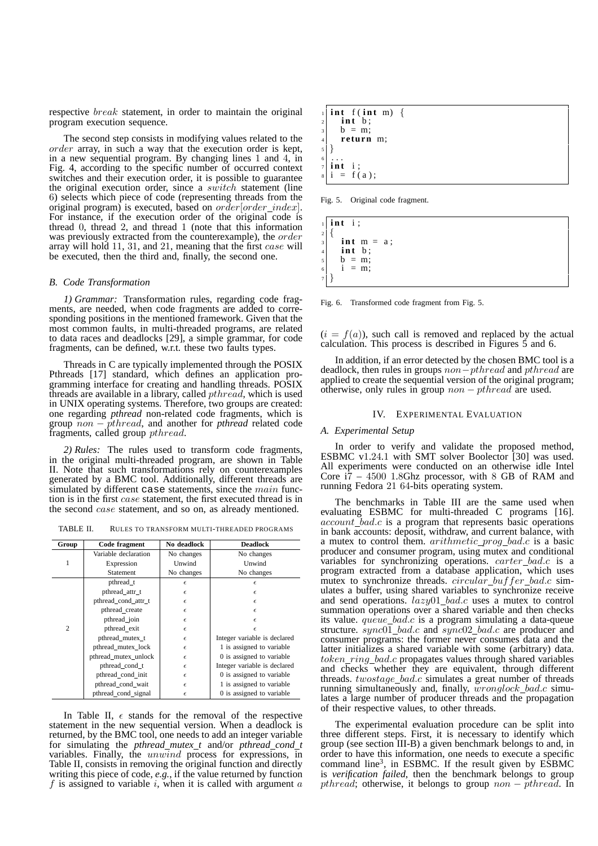respective *break* statement, in order to maintain the original program execution sequence.

The second step consists in modifying values related to the order array, in such a way that the execution order is kept, in a new sequential program. By changing lines 1 and 4, in Fig. 4, according to the specific number of occurred context switches and their execution order, it is possible to guarantee the original execution order, since a switch statement (line 6) selects which piece of code (representing threads from the original program) is executed, based on *order* [*order index*]. For instance, if the execution order of the original code is thread 0, thread 2, and thread 1 (note that this information was previously extracted from the counterexample), the *order* array will hold 11, 31, and 21, meaning that the first case will be executed, then the third and, finally, the second one.

#### *B. Code Transformation*

*1) Grammar:* Transformation rules, regarding code fragments, are needed, when code fragments are added to corresponding positions in the mentioned framework. Given that the most common faults, in multi-threaded programs, are related to data races and deadlocks [29], a simple grammar, for code fragments, can be defined, w.r.t. these two faults types.

Threads in C are typically implemented through the POSIX Pthreads [17] standard, which defines an application programming interface for creating and handling threads. POSIX threads are available in a library, called  $\emph{pthread}$ , which is used in UNIX operating systems. Therefore, two groups are created: one regarding *pthread* non-related code fragments, which is group non − pthread, and another for *pthread* related code fragments, called group *pthread*.

*2) Rules:* The rules used to transform code fragments, in the original multi-threaded program, are shown in Table II. Note that such transformations rely on counterexamples generated by a BMC tool. Additionally, different threads are simulated by different case statements, since the *main* function is in the first case statement, the first executed thread is in the second case statement, and so on, as already mentioned.

TABLE II. RULES TO TRANSFORM MULTI-THREADED PROGRAMS

| Group          | Code fragment        | No deadlock | <b>Deadlock</b>              |  |  |
|----------------|----------------------|-------------|------------------------------|--|--|
|                | Variable declaration | No changes  | No changes                   |  |  |
| 1              | Expression           | Unwind      | Unwind                       |  |  |
|                | <b>Statement</b>     | No changes  | No changes                   |  |  |
|                | pthread t            | $\epsilon$  | $\epsilon$                   |  |  |
|                | pthread_attr_t       | $\epsilon$  | $\epsilon$                   |  |  |
|                | pthread cond attr t  | $\epsilon$  | $\epsilon$                   |  |  |
|                | pthread_create       | $\epsilon$  | $\epsilon$                   |  |  |
|                | pthread_join         | $\epsilon$  | $\epsilon$                   |  |  |
| $\overline{c}$ | pthread exit         | $\epsilon$  | $\epsilon$                   |  |  |
|                | pthread_mutex_t      | $\epsilon$  | Integer variable is declared |  |  |
|                | pthread mutex lock   | $\epsilon$  | 1 is assigned to variable    |  |  |
|                | pthread_mutex_unlock | $\epsilon$  | 0 is assigned to variable    |  |  |
|                | pthread_cond_t       | $\epsilon$  | Integer variable is declared |  |  |
|                | pthread cond init    | $\epsilon$  | 0 is assigned to variable    |  |  |
|                | pthread cond wait    | $\epsilon$  | 1 is assigned to variable    |  |  |
|                | pthread cond signal  | $\epsilon$  | 0 is assigned to variable    |  |  |

In Table II,  $\epsilon$  stands for the removal of the respective statement in the new sequential version. When a deadlock is returned, by the BMC tool, one needs to add an integer variable for simulating the *pthread mutex t* and/or *pthread cond t* variables. Finally, the unwind process for expressions, in Table II, consists in removing the original function and directly writing this piece of code, *e.g.*, if the value returned by function f is assigned to variable  $i$ , when it is called with argument  $a$ 

$$
\begin{array}{ll}\n & \text{int } f(\text{int } m) \\
 & \text{int } b \\
 & b = m \\
 & \text{return } m \\
 & \text{int } i \\
 & \text{int } i \\
 & \text{int } i = f(a);\n \end{array}
$$

Fig. 5. Original code fragment.

$$
\begin{array}{c}\n1 \\
2 \\
3 \\
4 \\
4 \\
5 \\
5 \\
6 \\
6 \\
7\n\end{array}\n\quad\n\begin{array}{ccc}\n1 & \text{if } i ; \\
1 & \text{if } m = a ; \\
1 & \text{if } b ; \\
1 & = m ; \\
1 & = m ; \\
1 & = m ; \\
1 & = m ; \\
1 & = m ; \\
1 & = m ; \\
1 & = m ; \\
1 & = m ; \\
1 & = m ; \\
2 & = m ; \\
3 & = m ; \\
3 & = m ; \\
4 & = m ; \\
5 & = m ; \\
1 & = m ; \\
2 & = m ; \\
3 & = m ; \\
4 & = m ; \\
5 & = m ; \\
6 & = m ; \\
7 & = m ; \\
8 & = m ; \\
1 & = m ; \\
2 & = m ; \\
3 & = m ; \\
5 & = m ; \\
1 & = m ; \\
2 & = m ; \\
3 & = m ; \\
4 & = m ; \\
5 & = m ; \\
6 & = m ; \\
7 & = m ; \\
8 & = m ; \\
9 & = m ; \\
1 & = m ; \\
1 & = m ; \\
2 & = m ; \\
3 & = m ; \\
4 & = m ; \\
5 & = m ; \\
1 & = m ; \\
2 & = m ; \\
3 & = m ; \\
4 & = m ; \\
5 & = m ; \\
1 & = m ; \\
2 & = m ; \\
3 & = m ; \\
5 & = m ; \\
1 & = m ; \\
2 & = m ; \\
3 & = m ; \\
4 & = m ; \\
5 & = m ; \\
5 & = m ; \\
1 & = m ; \\
2 & = m ; \\
3 & = m ; \\
5 & = m ; \\
1 & = m ; \\
2 & = m ; \\
3 & = m ; \\
4 & = m ; \\
5 & = m ; \\
5 & = m ; \\
1 & = m ; \\
2 & = m ; \\
3 & = m ; \\
4 & = m ; \\
5 & = m ; \\
5 & = m ; \\
1 & = m ; \\
2 & = m ; \\
3 & = m ; \\
4 & = m ; \\
5 & = m ; \\
5 & = m ; \\
6 & = m ; \\
6 & = m ; \\
7 & = m ; \\
8 & = m ; \\
1 & = m ; \\
1 & = m ; \\
2 & =
$$

Fig. 6. Transformed code fragment from Fig. 5.

 $(i = f(a))$ , such call is removed and replaced by the actual calculation. This process is described in Figures  $\dot{5}$  and 6.

In addition, if an error detected by the chosen BMC tool is a deadlock, then rules in groups  $non-orthread$  and  $orthread$  are applied to create the sequential version of the original program; otherwise, only rules in group  $non-$  pthread are used.

### IV. EXPERIMENTAL EVALUATION

#### *A. Experimental Setup*

In order to verify and validate the proposed method, ESBMC v1.24.1 with SMT solver Boolector [30] was used. All experiments were conducted on an otherwise idle Intel Core i7 – 4500 1.8Ghz processor, with 8 GB of RAM and running Fedora 21 64-bits operating system.

The benchmarks in Table III are the same used when evaluating ESBMC for multi-threaded C programs [16].  $account\_bad.c$  is a program that represents basic operations in bank accounts: deposit, withdraw, and current balance, with a mutex to control them. *arithmetic\_prog\_bad.c* is a basic producer and consumer program, using mutex and conditional variables for synchronizing operations. carter\_bad.c is a program extracted from a database application, which uses mutex to synchronize threads.  $circular_buffer_bad.c$  simulates a buffer, using shared variables to synchronize receive and send operations. lazy01 bad.c uses a mutex to control summation operations over a shared variable and then checks its value.  $queue\_bad.c$  is a program simulating a data-queue structure.  $sync0\overline{1}\_bad.c$  and  $sync02\_bad.c$  are producer and consumer programs: the former never consumes data and the latter initializes a shared variable with some (arbitrary) data.  $token\_ring\_bad.c$  propagates values through shared variables and checks whether they are equivalent, through different threads. twostage bad.c simulates a great number of threads running simultaneously and, finally,  $wronglock\_bad.c$  simulates a large number of producer threads and the propagation of their respective values, to other threads.

The experimental evaluation procedure can be split into three different steps. First, it is necessary to identify which group (see section III-B) a given benchmark belongs to and, in order to have this information, one needs to execute a specific command line<sup>3</sup>, in ESBMC. If the result given by ESBMC is *verification failed*, then the benchmark belongs to group pthread; otherwise, it belongs to group  $non-$  pthread. In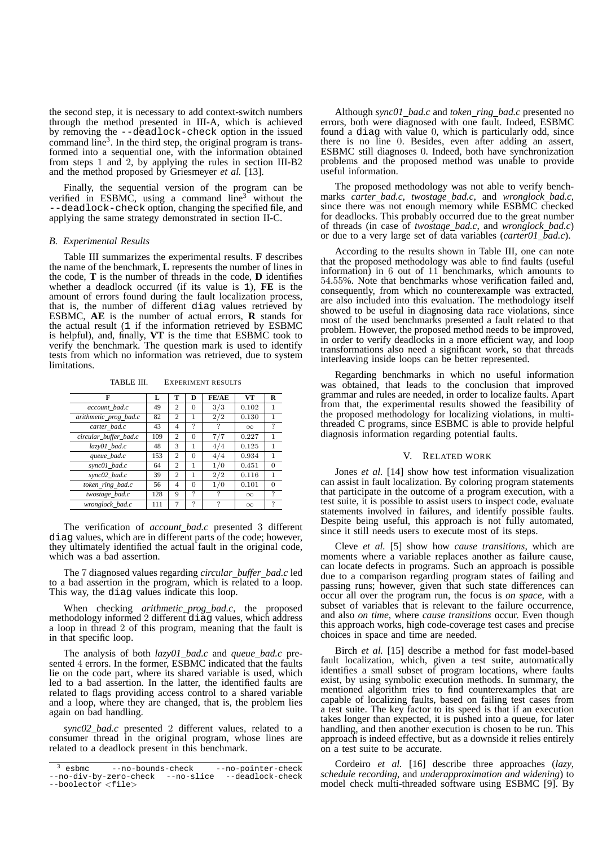the second step, it is necessary to add context-switch numbers through the method presented in III-A, which is achieved by removing the --deadlock-check option in the issued command  $line<sup>3</sup>$ . In the third step, the original program is transformed into a sequential one, with the information obtained from steps 1 and 2, by applying the rules in section III-B2 and the method proposed by Griesmeyer *et al.* [13].

Finally, the sequential version of the program can be verified in ESBMC, using a command line<sup>3</sup> without the --deadlock-check option, changing the specified file, and applying the same strategy demonstrated in section II-C.

#### *B. Experimental Results*

Table III summarizes the experimental results. **F** describes the name of the benchmark, **L** represents the number of lines in the code, **T** is the number of threads in the code, **D** identifies whether a deadlock occurred (if its value is 1), **FE** is the amount of errors found during the fault localization process, that is, the number of different diag values retrieved by ESBMC, **AE** is the number of actual errors, **R** stands for the actual result (1 if the information retrieved by ESBMC is helpful), and, finally, **VT** is the time that ESBMC took to verify the benchmark. The question mark is used to identify tests from which no information was retrieved, due to system limitations.

TABLE III. EXPERIMENT RESULTS

| F                     | L   | т              | D        | FE/AE | VТ       | R        |
|-----------------------|-----|----------------|----------|-------|----------|----------|
| account bad.c         | 49  | 2              | 0        | 3/3   | 0.102    | 1        |
| arithmetic prog bad.c | 82  | 2              | 1        | 2/2   | 0.130    | 1        |
| carter bad.c          | 43  | 4              | ?        | ?     | $\infty$ | ?        |
| circular buffer bad.c | 109 | $\overline{c}$ | $\Omega$ | 7/7   | 0.227    | 1        |
| $l$ azy $01$ bad.c    | 48  | 3              | 1        | 4/4   | 0.125    | 1        |
| queue bad.c           | 153 | $\overline{c}$ | $\Omega$ | 4/4   | 0.934    | 1        |
| sync01 bad.c          | 64  | $\overline{c}$ | 1        | 1/0   | 0.451    | $\Omega$ |
| sync02_bad.c          | 39  | $\overline{c}$ | 1        | 2/2   | 0.116    | 1        |
| token_ring_bad.c      | 56  | 4              | $\Omega$ | 1/0   | 0.101    | $\Omega$ |
| twostage_bad.c        | 128 | 9              | ?        | ?     | $\infty$ | 7        |
| wronglock_bad.c       | 111 | $\overline{7}$ | 2        | 7     | $\infty$ | 2        |

The verification of *account bad.c* presented 3 different diag values, which are in different parts of the code; however, they ultimately identified the actual fault in the original code, which was a bad assertion.

The 7 diagnosed values regarding *circular buffer bad.c* led to a bad assertion in the program, which is related to a loop. This way, the diag values indicate this loop.

When checking *arithmetic prog bad.c*, the proposed methodology informed 2 different diag values, which address a loop in thread 2 of this program, meaning that the fault is in that specific loop.

The analysis of both *lazy01 bad.c* and *queue bad.c* presented 4 errors. In the former, ESBMC indicated that the faults lie on the code part, where its shared variable is used, which led to a bad assertion. In the latter, the identified faults are related to flags providing access control to a shared variable and a loop, where they are changed, that is, the problem lies again on bad handling.

*sync02 bad.c* presented 2 different values, related to a consumer thread in the original program, whose lines are related to a deadlock present in this benchmark.

Although *sync01 bad.c* and *token ring bad.c* presented no errors, both were diagnosed with one fault. Indeed, ESBMC found a diag with value 0, which is particularly odd, since there is no line 0. Besides, even after adding an assert, ESBMC still diagnoses 0. Indeed, both have synchronization problems and the proposed method was unable to provide useful information.

The proposed methodology was not able to verify benchmarks *carter bad.c*, *twostage bad.c*, and *wronglock bad.c*, since there was not enough memory while ESBMC checked for deadlocks. This probably occurred due to the great number of threads (in case of *twostage bad.c*, and *wronglock bad.c*) or due to a very large set of data variables (*carter01 bad.c*).

According to the results shown in Table III, one can note that the proposed methodology was able to find faults (useful information) in 6 out of 11 benchmarks, which amounts to 54.55%. Note that benchmarks whose verification failed and, consequently, from which no counterexample was extracted, are also included into this evaluation. The methodology itself showed to be useful in diagnosing data race violations, since most of the used benchmarks presented a fault related to that problem. However, the proposed method needs to be improved, in order to verify deadlocks in a more efficient way, and loop transformations also need a significant work, so that threads interleaving inside loops can be better represented.

Regarding benchmarks in which no useful information was obtained, that leads to the conclusion that improved grammar and rules are needed, in order to localize faults. Apart from that, the experimental results showed the feasibility of the proposed methodology for localizing violations, in multithreaded C programs, since ESBMC is able to provide helpful diagnosis information regarding potential faults.

#### V. RELATED WORK

Jones *et al.* [14] show how test information visualization can assist in fault localization. By coloring program statements that participate in the outcome of a program execution, with a test suite, it is possible to assist users to inspect code, evaluate statements involved in failures, and identify possible faults. Despite being useful, this approach is not fully automated, since it still needs users to execute most of its steps.

Cleve *et al.* [5] show how *cause transitions*, which are moments where a variable replaces another as failure cause, can locate defects in programs. Such an approach is possible due to a comparison regarding program states of failing and passing runs; however, given that such state differences can occur all over the program run, the focus is *on space*, with a subset of variables that is relevant to the failure occurrence, and also *on time*, where *cause transitions* occur. Even though this approach works, high code-coverage test cases and precise choices in space and time are needed.

Birch *et al.* [15] describe a method for fast model-based fault localization, which, given a test suite, automatically identifies a small subset of program locations, where faults exist, by using symbolic execution methods. In summary, the mentioned algorithm tries to find counterexamples that are capable of localizing faults, based on failing test cases from a test suite. The key factor to its speed is that if an execution takes longer than expected, it is pushed into a queue, for later handling, and then another execution is chosen to be run. This approach is indeed effective, but as a downside it relies entirely on a test suite to be accurate.

Cordeiro *et al.* [16] describe three approaches (*lazy*, *schedule recording*, and *underapproximation and widening*) to model check multi-threaded software using ESBMC [9]. By

<sup>3</sup> esbmc --no-bounds-check --no-pointer-check --no-div-by-zero-check --no-slice --deadlock-check --boolector <file>